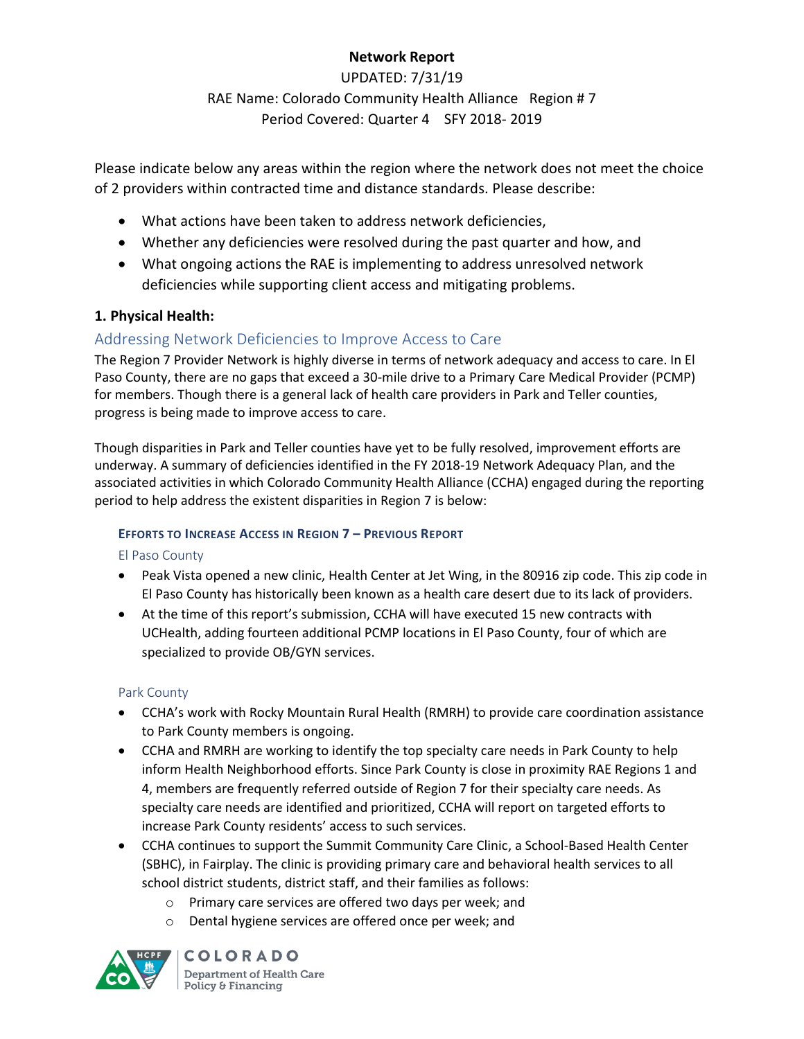# **Network Report**

UPDATED: 7/31/19 RAE Name: Colorado Community Health Alliance Region # 7 Period Covered: Quarter 4 SFY 2018- 2019

Please indicate below any areas within the region where the network does not meet the choice of 2 providers within contracted time and distance standards. Please describe:

- What actions have been taken to address network deficiencies,
- Whether any deficiencies were resolved during the past quarter and how, and
- What ongoing actions the RAE is implementing to address unresolved network deficiencies while supporting client access and mitigating problems.

# **1. Physical Health:**

# Addressing Network Deficiencies to Improve Access to Care

The Region 7 Provider Network is highly diverse in terms of network adequacy and access to care. In El Paso County, there are no gaps that exceed a 30-mile drive to a Primary Care Medical Provider (PCMP) for members. Though there is a general lack of health care providers in Park and Teller counties, progress is being made to improve access to care.

Though disparities in Park and Teller counties have yet to be fully resolved, improvement efforts are underway. A summary of deficiencies identified in the FY 2018-19 Network Adequacy Plan, and the associated activities in which Colorado Community Health Alliance (CCHA) engaged during the reporting period to help address the existent disparities in Region 7 is below:

# **EFFORTS TO INCREASE ACCESS IN REGION 7 – PREVIOUS REPORT**

### El Paso County

- Peak Vista opened a new clinic, Health Center at Jet Wing, in the 80916 zip code. This zip code in El Paso County has historically been known as a health care desert due to its lack of providers.
- At the time of this report's submission, CCHA will have executed 15 new contracts with UCHealth, adding fourteen additional PCMP locations in El Paso County, four of which are specialized to provide OB/GYN services.

### Park County

- CCHA's work with Rocky Mountain Rural Health (RMRH) to provide care coordination assistance to Park County members is ongoing.
- CCHA and RMRH are working to identify the top specialty care needs in Park County to help inform Health Neighborhood efforts. Since Park County is close in proximity RAE Regions 1 and 4, members are frequently referred outside of Region 7 for their specialty care needs. As specialty care needs are identified and prioritized, CCHA will report on targeted efforts to increase Park County residents' access to such services.
- CCHA continues to support the Summit Community Care Clinic, a School-Based Health Center (SBHC), in Fairplay. The clinic is providing primary care and behavioral health services to all school district students, district staff, and their families as follows:
	- o Primary care services are offered two days per week; and
	- o Dental hygiene services are offered once per week; and

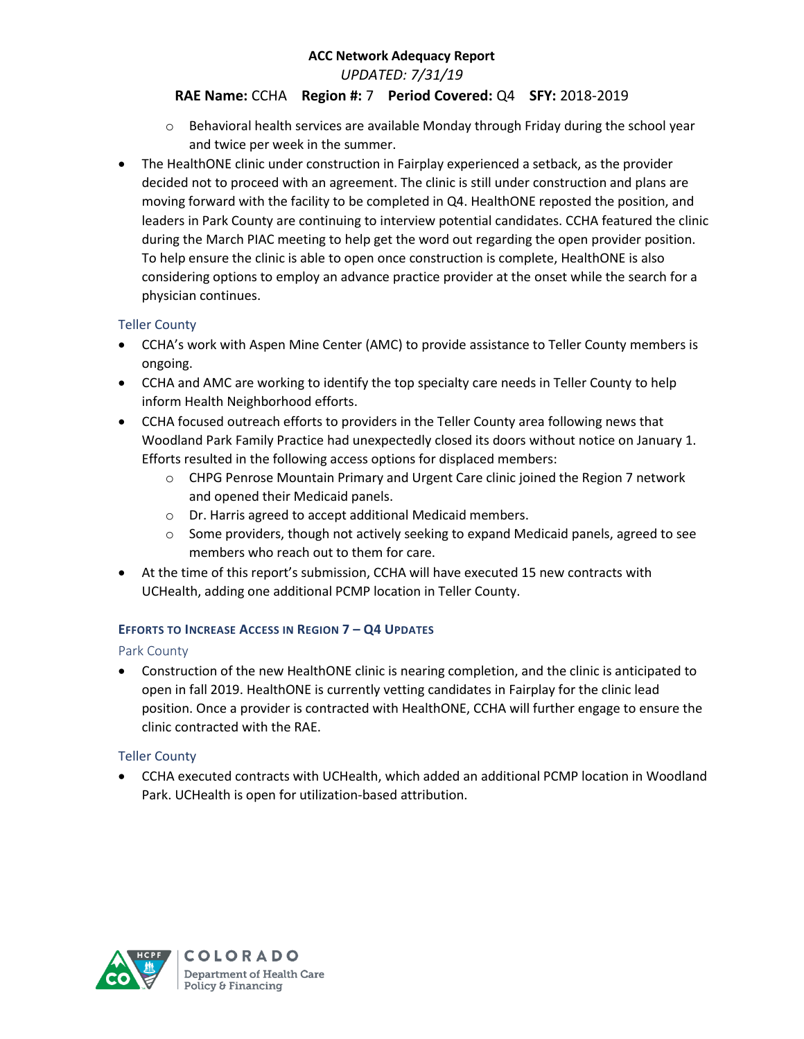*UPDATED: 7/31/19*

### **RAE Name:** CCHA **Region #:** 7 **Period Covered:** Q4 **SFY:** 2018-2019

- o Behavioral health services are available Monday through Friday during the school year and twice per week in the summer.
- The HealthONE clinic under construction in Fairplay experienced a setback, as the provider decided not to proceed with an agreement. The clinic is still under construction and plans are moving forward with the facility to be completed in Q4. HealthONE reposted the position, and leaders in Park County are continuing to interview potential candidates. CCHA featured the clinic during the March PIAC meeting to help get the word out regarding the open provider position. To help ensure the clinic is able to open once construction is complete, HealthONE is also considering options to employ an advance practice provider at the onset while the search for a physician continues.

### Teller County

- CCHA's work with Aspen Mine Center (AMC) to provide assistance to Teller County members is ongoing.
- CCHA and AMC are working to identify the top specialty care needs in Teller County to help inform Health Neighborhood efforts.
- CCHA focused outreach efforts to providers in the Teller County area following news that Woodland Park Family Practice had unexpectedly closed its doors without notice on January 1. Efforts resulted in the following access options for displaced members:
	- o CHPG Penrose Mountain Primary and Urgent Care clinic joined the Region 7 network and opened their Medicaid panels.
	- o Dr. Harris agreed to accept additional Medicaid members.
	- $\circ$  Some providers, though not actively seeking to expand Medicaid panels, agreed to see members who reach out to them for care.
- At the time of this report's submission, CCHA will have executed 15 new contracts with UCHealth, adding one additional PCMP location in Teller County.

#### **EFFORTS TO INCREASE ACCESS IN REGION 7 – Q4 UPDATES**

#### Park County

 Construction of the new HealthONE clinic is nearing completion, and the clinic is anticipated to open in fall 2019. HealthONE is currently vetting candidates in Fairplay for the clinic lead position. Once a provider is contracted with HealthONE, CCHA will further engage to ensure the clinic contracted with the RAE.

### Teller County

 CCHA executed contracts with UCHealth, which added an additional PCMP location in Woodland Park. UCHealth is open for utilization-based attribution.

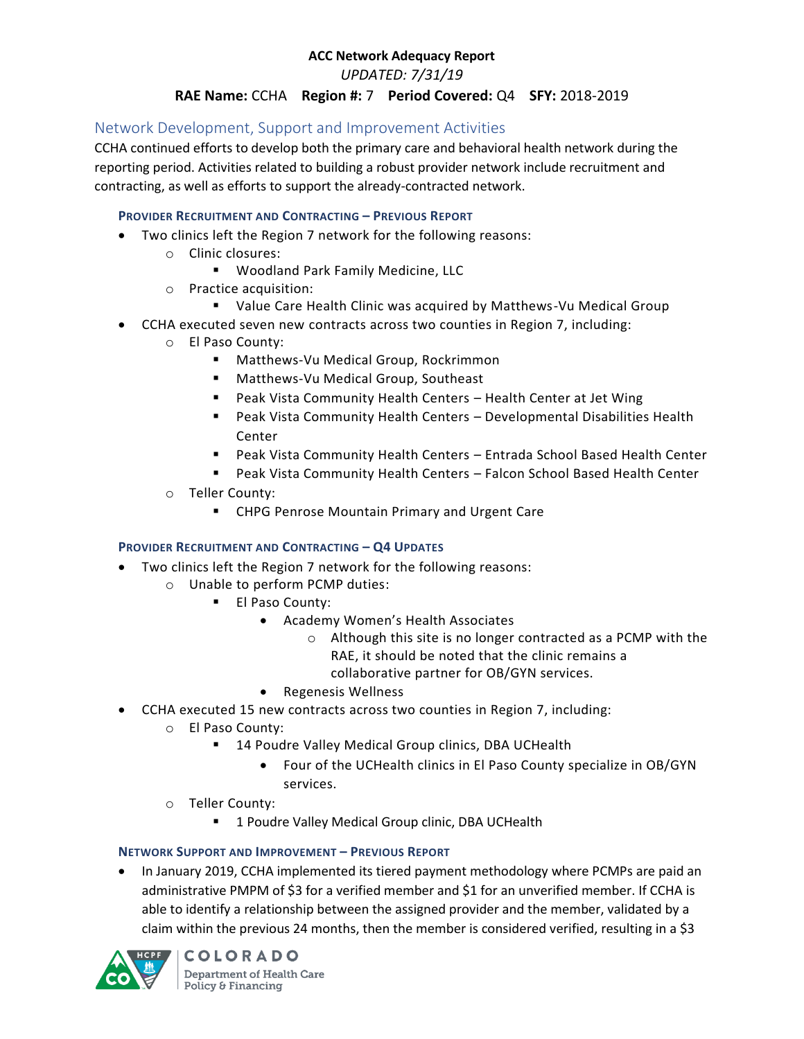*UPDATED: 7/31/19*

### **RAE Name:** CCHA **Region #:** 7 **Period Covered:** Q4 **SFY:** 2018-2019

# Network Development, Support and Improvement Activities

CCHA continued efforts to develop both the primary care and behavioral health network during the reporting period. Activities related to building a robust provider network include recruitment and contracting, as well as efforts to support the already-contracted network.

#### **PROVIDER RECRUITMENT AND CONTRACTING – PREVIOUS REPORT**

- Two clinics left the Region 7 network for the following reasons:
	- o Clinic closures:
		- Woodland Park Family Medicine, LLC
	- o Practice acquisition:
		- Value Care Health Clinic was acquired by Matthews-Vu Medical Group
- CCHA executed seven new contracts across two counties in Region 7, including:
	- o El Paso County:
		- Matthews-Vu Medical Group, Rockrimmon
		- Matthews-Vu Medical Group, Southeast
		- Peak Vista Community Health Centers Health Center at Jet Wing
		- Peak Vista Community Health Centers Developmental Disabilities Health Center
		- Peak Vista Community Health Centers Entrada School Based Health Center
		- Peak Vista Community Health Centers Falcon School Based Health Center
	- o Teller County:
		- **EXPU** CHPG Penrose Mountain Primary and Urgent Care

#### **PROVIDER RECRUITMENT AND CONTRACTING – Q4 UPDATES**

- Two clinics left the Region 7 network for the following reasons:
	- o Unable to perform PCMP duties:
		- **El Paso County:** 
			- Academy Women's Health Associates
				- o Although this site is no longer contracted as a PCMP with the RAE, it should be noted that the clinic remains a collaborative partner for OB/GYN services.
			- Regenesis Wellness
	- CCHA executed 15 new contracts across two counties in Region 7, including:
		- o El Paso County:
			- 14 Poudre Valley Medical Group clinics, DBA UCHealth
				- Four of the UCHealth clinics in El Paso County specialize in OB/GYN services.
		- o Teller County:
			- **1 Poudre Valley Medical Group clinic, DBA UCHealth**

#### **NETWORK SUPPORT AND IMPROVEMENT – PREVIOUS REPORT**

 In January 2019, CCHA implemented its tiered payment methodology where PCMPs are paid an administrative PMPM of \$3 for a verified member and \$1 for an unverified member. If CCHA is able to identify a relationship between the assigned provider and the member, validated by a claim within the previous 24 months, then the member is considered verified, resulting in a \$3

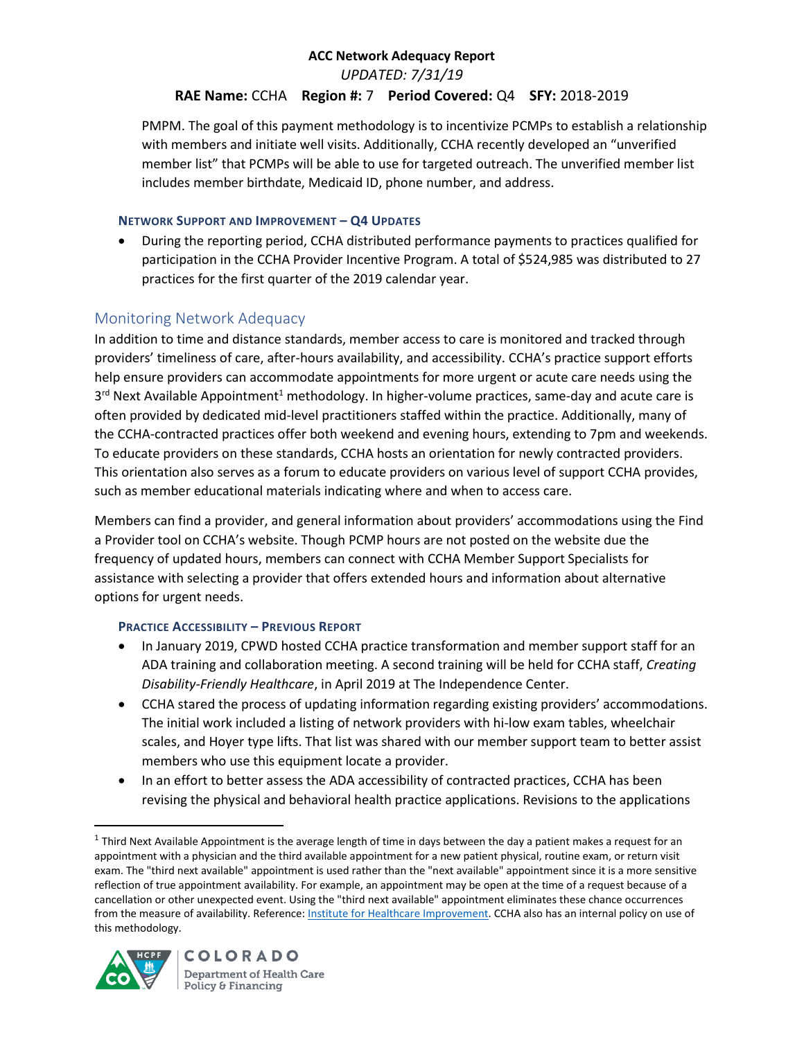*UPDATED: 7/31/19*

## **RAE Name:** CCHA **Region #:** 7 **Period Covered:** Q4 **SFY:** 2018-2019

PMPM. The goal of this payment methodology is to incentivize PCMPs to establish a relationship with members and initiate well visits. Additionally, CCHA recently developed an "unverified member list" that PCMPs will be able to use for targeted outreach. The unverified member list includes member birthdate, Medicaid ID, phone number, and address.

### **NETWORK SUPPORT AND IMPROVEMENT – Q4 UPDATES**

 During the reporting period, CCHA distributed performance payments to practices qualified for participation in the CCHA Provider Incentive Program. A total of \$524,985 was distributed to 27 practices for the first quarter of the 2019 calendar year.

# Monitoring Network Adequacy

In addition to time and distance standards, member access to care is monitored and tracked through providers' timeliness of care, after-hours availability, and accessibility. CCHA's practice support efforts help ensure providers can accommodate appointments for more urgent or acute care needs using the 3<sup>rd</sup> Next Available Appointment<sup>1</sup> methodology. In higher-volume practices, same-day and acute care is often provided by dedicated mid-level practitioners staffed within the practice. Additionally, many of the CCHA-contracted practices offer both weekend and evening hours, extending to 7pm and weekends. To educate providers on these standards, CCHA hosts an orientation for newly contracted providers. This orientation also serves as a forum to educate providers on various level of support CCHA provides, such as member educational materials indicating where and when to access care.

Members can find a provider, and general information about providers' accommodations using the Find a Provider tool on CCHA's website. Though PCMP hours are not posted on the website due the frequency of updated hours, members can connect with CCHA Member Support Specialists for assistance with selecting a provider that offers extended hours and information about alternative options for urgent needs.

### **PRACTICE ACCESSIBILITY – PREVIOUS REPORT**

- In January 2019, CPWD hosted CCHA practice transformation and member support staff for an ADA training and collaboration meeting. A second training will be held for CCHA staff, *Creating Disability-Friendly Healthcare*, in April 2019 at The Independence Center.
- CCHA stared the process of updating information regarding existing providers' accommodations. The initial work included a listing of network providers with hi-low exam tables, wheelchair scales, and Hoyer type lifts. That list was shared with our member support team to better assist members who use this equipment locate a provider.
- In an effort to better assess the ADA accessibility of contracted practices, CCHA has been revising the physical and behavioral health practice applications. Revisions to the applications

<sup>&</sup>lt;sup>1</sup> Third Next Available Appointment is the average length of time in days between the day a patient makes a request for an appointment with a physician and the third available appointment for a new patient physical, routine exam, or return visit exam. The "third next available" appointment is used rather than the "next available" appointment since it is a more sensitive reflection of true appointment availability. For example, an appointment may be open at the time of a request because of a cancellation or other unexpected event. Using the "third next available" appointment eliminates these chance occurrences from the measure of availability. Reference[: Institute for Healthcare Improvement.](http://www.ihi.org/resources/Pages/Measures/ThirdNextAvailableAppointment.aspx) CCHA also has an internal policy on use of this methodology.



 $\overline{a}$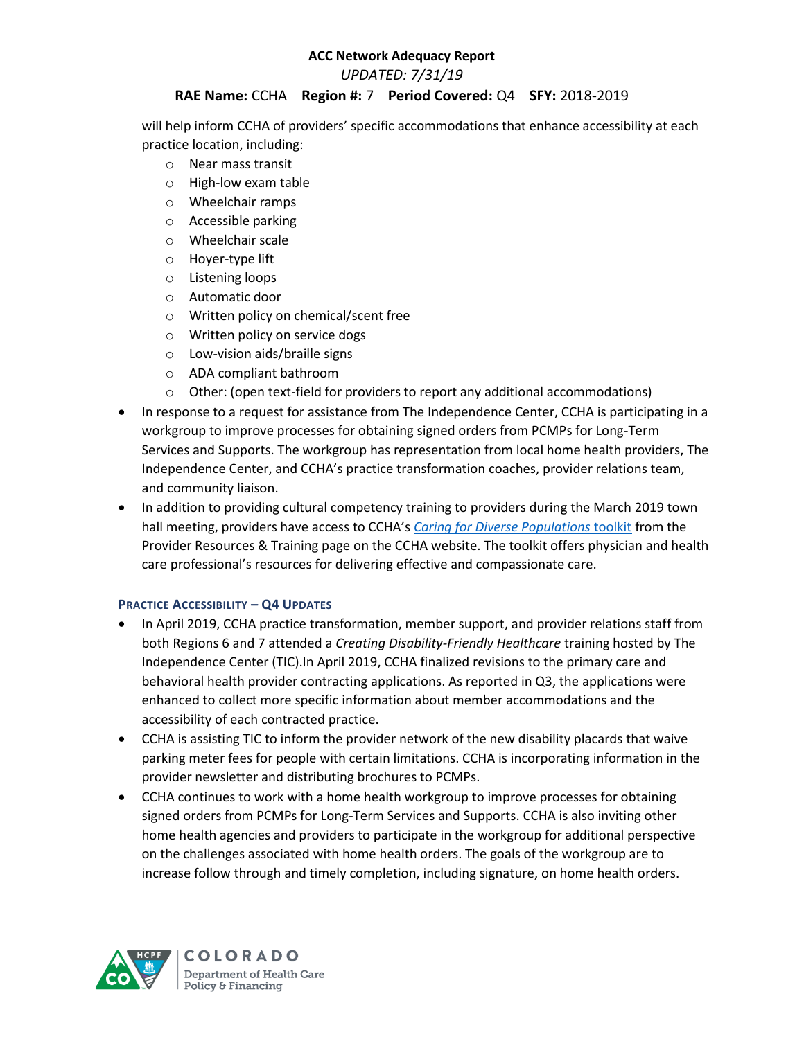*UPDATED: 7/31/19*

### **RAE Name:** CCHA **Region #:** 7 **Period Covered:** Q4 **SFY:** 2018-2019

will help inform CCHA of providers' specific accommodations that enhance accessibility at each practice location, including:

- o Near mass transit
- o High-low exam table
- o Wheelchair ramps
- o Accessible parking
- o Wheelchair scale
- o Hoyer-type lift
- o Listening loops
- o Automatic door
- o Written policy on chemical/scent free
- o Written policy on service dogs
- o Low-vision aids/braille signs
- o ADA compliant bathroom
- $\circ$  Other: (open text-field for providers to report any additional accommodations)
- In response to a request for assistance from The Independence Center, CCHA is participating in a workgroup to improve processes for obtaining signed orders from PCMPs for Long-Term Services and Supports. The workgroup has representation from local home health providers, The Independence Center, and CCHA's practice transformation coaches, provider relations team, and community liaison.
- In addition to providing cultural competency training to providers during the March 2019 town hall meeting, providers have access to CCHA's *[Caring for Diverse Populations](https://www.cchacares.com/media/1266/caring-for-diverse-populations-toolkit.pdf)* toolkit from the Provider Resources & Training page on the CCHA website. The toolkit offers physician and health care professional's resources for delivering effective and compassionate care.

### **PRACTICE ACCESSIBILITY – Q4 UPDATES**

- In April 2019, CCHA practice transformation, member support, and provider relations staff from both Regions 6 and 7 attended a *Creating Disability-Friendly Healthcare* training hosted by The Independence Center (TIC).In April 2019, CCHA finalized revisions to the primary care and behavioral health provider contracting applications. As reported in Q3, the applications were enhanced to collect more specific information about member accommodations and the accessibility of each contracted practice.
- CCHA is assisting TIC to inform the provider network of the new disability placards that waive parking meter fees for people with certain limitations. CCHA is incorporating information in the provider newsletter and distributing brochures to PCMPs.
- CCHA continues to work with a home health workgroup to improve processes for obtaining signed orders from PCMPs for Long-Term Services and Supports. CCHA is also inviting other home health agencies and providers to participate in the workgroup for additional perspective on the challenges associated with home health orders. The goals of the workgroup are to increase follow through and timely completion, including signature, on home health orders.

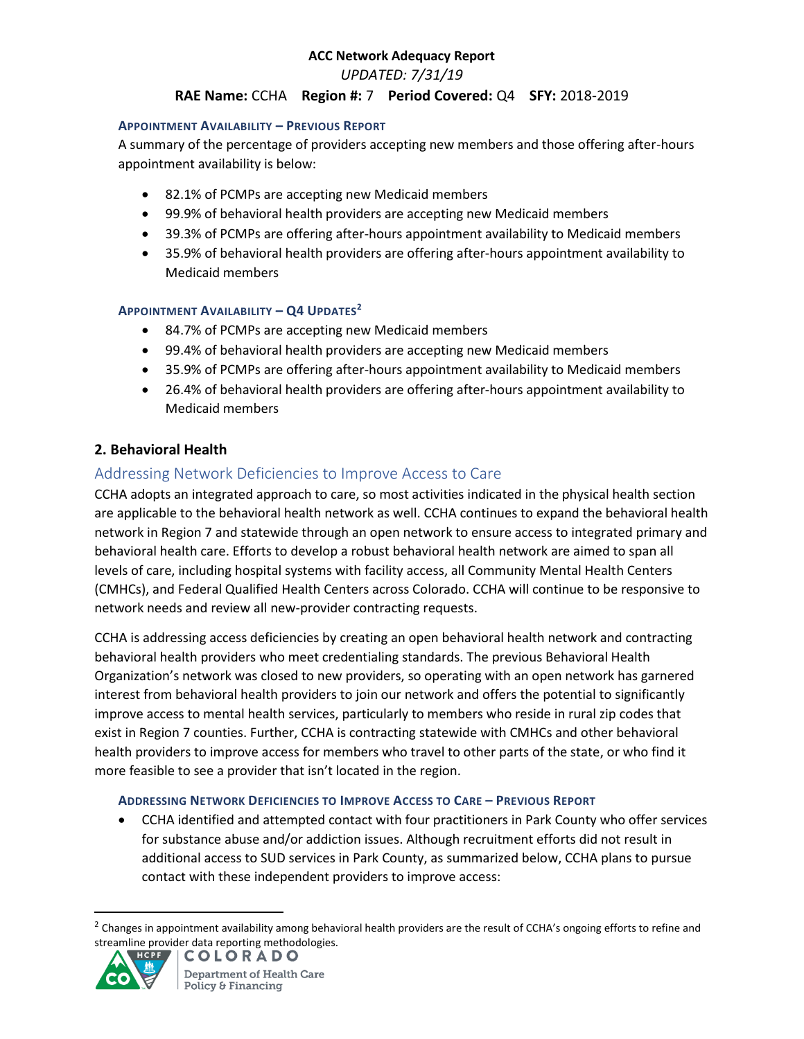*UPDATED: 7/31/19*

## **RAE Name:** CCHA **Region #:** 7 **Period Covered:** Q4 **SFY:** 2018-2019

#### **APPOINTMENT AVAILABILITY – PREVIOUS REPORT**

A summary of the percentage of providers accepting new members and those offering after-hours appointment availability is below:

- 82.1% of PCMPs are accepting new Medicaid members
- 99.9% of behavioral health providers are accepting new Medicaid members
- 39.3% of PCMPs are offering after-hours appointment availability to Medicaid members
- 35.9% of behavioral health providers are offering after-hours appointment availability to Medicaid members

### **APPOINTMENT AVAILABILITY – Q4 UPDATES<sup>2</sup>**

- 84.7% of PCMPs are accepting new Medicaid members
- 99.4% of behavioral health providers are accepting new Medicaid members
- 35.9% of PCMPs are offering after-hours appointment availability to Medicaid members
- 26.4% of behavioral health providers are offering after-hours appointment availability to Medicaid members

## **2. Behavioral Health**

# Addressing Network Deficiencies to Improve Access to Care

CCHA adopts an integrated approach to care, so most activities indicated in the physical health section are applicable to the behavioral health network as well. CCHA continues to expand the behavioral health network in Region 7 and statewide through an open network to ensure access to integrated primary and behavioral health care. Efforts to develop a robust behavioral health network are aimed to span all levels of care, including hospital systems with facility access, all Community Mental Health Centers (CMHCs), and Federal Qualified Health Centers across Colorado. CCHA will continue to be responsive to network needs and review all new-provider contracting requests.

CCHA is addressing access deficiencies by creating an open behavioral health network and contracting behavioral health providers who meet credentialing standards. The previous Behavioral Health Organization's network was closed to new providers, so operating with an open network has garnered interest from behavioral health providers to join our network and offers the potential to significantly improve access to mental health services, particularly to members who reside in rural zip codes that exist in Region 7 counties. Further, CCHA is contracting statewide with CMHCs and other behavioral health providers to improve access for members who travel to other parts of the state, or who find it more feasible to see a provider that isn't located in the region.

#### **ADDRESSING NETWORK DEFICIENCIES TO IMPROVE ACCESS TO CARE – PREVIOUS REPORT**

 CCHA identified and attempted contact with four practitioners in Park County who offer services for substance abuse and/or addiction issues. Although recruitment efforts did not result in additional access to SUD services in Park County, as summarized below, CCHA plans to pursue contact with these independent providers to improve access:

<sup>&</sup>lt;sup>2</sup> Changes in appointment availability among behavioral health providers are the result of CCHA's ongoing efforts to refine and streamline provider data reporting methodologies.<br>
A HCPF | COLORADO



 $\overline{a}$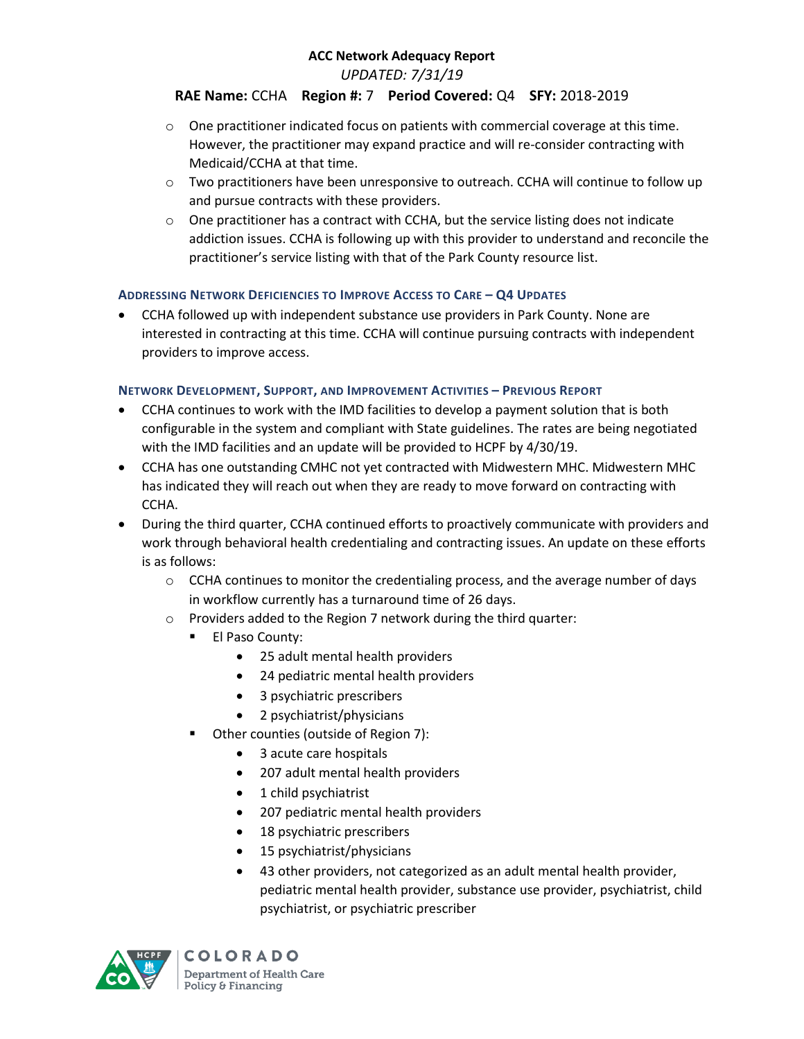*UPDATED: 7/31/19*

## **RAE Name:** CCHA **Region #:** 7 **Period Covered:** Q4 **SFY:** 2018-2019

- $\circ$  One practitioner indicated focus on patients with commercial coverage at this time. However, the practitioner may expand practice and will re-consider contracting with Medicaid/CCHA at that time.
- $\circ$  Two practitioners have been unresponsive to outreach. CCHA will continue to follow up and pursue contracts with these providers.
- $\circ$  One practitioner has a contract with CCHA, but the service listing does not indicate addiction issues. CCHA is following up with this provider to understand and reconcile the practitioner's service listing with that of the Park County resource list.

### **ADDRESSING NETWORK DEFICIENCIES TO IMPROVE ACCESS TO CARE – Q4 UPDATES**

 CCHA followed up with independent substance use providers in Park County. None are interested in contracting at this time. CCHA will continue pursuing contracts with independent providers to improve access.

### **NETWORK DEVELOPMENT, SUPPORT, AND IMPROVEMENT ACTIVITIES – PREVIOUS REPORT**

- CCHA continues to work with the IMD facilities to develop a payment solution that is both configurable in the system and compliant with State guidelines. The rates are being negotiated with the IMD facilities and an update will be provided to HCPF by 4/30/19.
- CCHA has one outstanding CMHC not yet contracted with Midwestern MHC. Midwestern MHC has indicated they will reach out when they are ready to move forward on contracting with CCHA.
- During the third quarter, CCHA continued efforts to proactively communicate with providers and work through behavioral health credentialing and contracting issues. An update on these efforts is as follows:
	- $\circ$  CCHA continues to monitor the credentialing process, and the average number of days in workflow currently has a turnaround time of 26 days.
	- o Providers added to the Region 7 network during the third quarter:
		- **El Paso County:** 
			- 25 adult mental health providers
			- 24 pediatric mental health providers
			- 3 psychiatric prescribers
			- 2 psychiatrist/physicians
		- **•** Other counties (outside of Region 7):
			- 3 acute care hospitals
			- 207 adult mental health providers
			- 1 child psychiatrist
			- 207 pediatric mental health providers
			- 18 psychiatric prescribers
			- 15 psychiatrist/physicians
			- 43 other providers, not categorized as an adult mental health provider, pediatric mental health provider, substance use provider, psychiatrist, child psychiatrist, or psychiatric prescriber

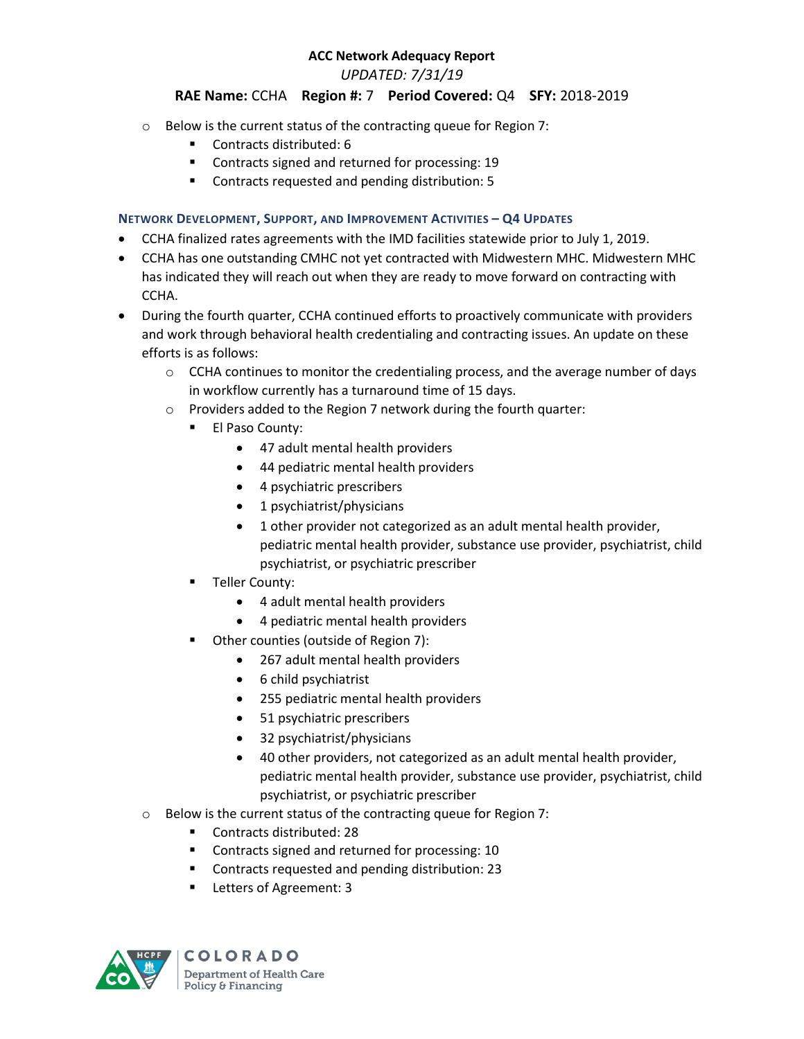*UPDATED: 7/31/19*

### **RAE Name:** CCHA **Region #:** 7 **Period Covered:** Q4 **SFY:** 2018-2019

- o Below is the current status of the contracting queue for Region 7:
	- Contracts distributed: 6
	- **EXECONTRELIST CONTREX** Contracts signed and returned for processing: 19
	- Contracts requested and pending distribution: 5

### **NETWORK DEVELOPMENT, SUPPORT, AND IMPROVEMENT ACTIVITIES – Q4 UPDATES**

- CCHA finalized rates agreements with the IMD facilities statewide prior to July 1, 2019.
- CCHA has one outstanding CMHC not yet contracted with Midwestern MHC. Midwestern MHC has indicated they will reach out when they are ready to move forward on contracting with CCHA.
- During the fourth quarter, CCHA continued efforts to proactively communicate with providers and work through behavioral health credentialing and contracting issues. An update on these efforts is as follows:
	- $\circ$  CCHA continues to monitor the credentialing process, and the average number of days in workflow currently has a turnaround time of 15 days.
	- o Providers added to the Region 7 network during the fourth quarter:
		- El Paso County:
			- 47 adult mental health providers
			- 44 pediatric mental health providers
			- 4 psychiatric prescribers
			- 1 psychiatrist/physicians
			- 1 other provider not categorized as an adult mental health provider, pediatric mental health provider, substance use provider, psychiatrist, child psychiatrist, or psychiatric prescriber
		- Teller County:
			- 4 adult mental health providers
			- 4 pediatric mental health providers
		- Other counties (outside of Region 7):
			- 267 adult mental health providers
			- 6 child psychiatrist
			- 255 pediatric mental health providers
			- 51 psychiatric prescribers
			- 32 psychiatrist/physicians
			- 40 other providers, not categorized as an adult mental health provider, pediatric mental health provider, substance use provider, psychiatrist, child psychiatrist, or psychiatric prescriber
	- o Below is the current status of the contracting queue for Region 7:
		- Contracts distributed: 28
		- **EXECONTRELS** Contracts signed and returned for processing: 10
		- **Contracts requested and pending distribution: 23**
		- **Letters of Agreement: 3**

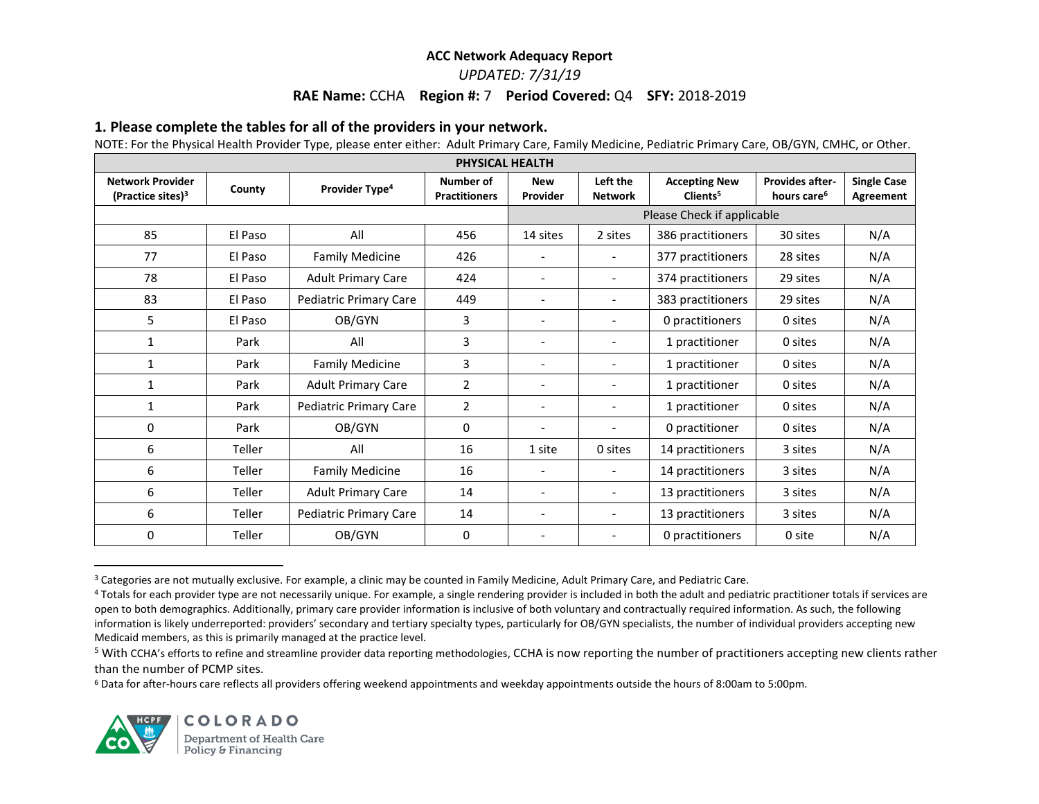### *UPDATED: 7/31/19*

#### **RAE Name:** CCHA **Region #:** 7 **Period Covered:** Q4 **SFY:** 2018-2019

#### **1. Please complete the tables for all of the providers in your network.**

NOTE: For the Physical Health Provider Type, please enter either: Adult Primary Care, Family Medicine, Pediatric Primary Care, OB/GYN, CMHC, or Other.

| PHYSICAL HEALTH                                          |         |                            |                                   |                          |                            |                                              |                                                   |                                 |  |
|----------------------------------------------------------|---------|----------------------------|-----------------------------------|--------------------------|----------------------------|----------------------------------------------|---------------------------------------------------|---------------------------------|--|
| <b>Network Provider</b><br>(Practice sites) <sup>3</sup> | County  | Provider Type <sup>4</sup> | Number of<br><b>Practitioners</b> | <b>New</b><br>Provider   | Left the<br><b>Network</b> | <b>Accepting New</b><br>Clients <sup>5</sup> | <b>Provides after-</b><br>hours care <sup>6</sup> | <b>Single Case</b><br>Agreement |  |
|                                                          |         |                            |                                   |                          |                            | Please Check if applicable                   |                                                   |                                 |  |
| 85                                                       | El Paso | All                        | 456                               | 14 sites                 | 2 sites                    | 386 practitioners                            | 30 sites                                          | N/A                             |  |
| 77                                                       | El Paso | <b>Family Medicine</b>     | 426                               |                          | $\overline{\phantom{a}}$   | 377 practitioners                            | 28 sites                                          | N/A                             |  |
| 78                                                       | El Paso | <b>Adult Primary Care</b>  | 424                               |                          | $\overline{\phantom{a}}$   | 374 practitioners                            | 29 sites                                          | N/A                             |  |
| 83                                                       | El Paso | Pediatric Primary Care     | 449                               |                          | $\overline{\phantom{a}}$   | 383 practitioners                            | 29 sites                                          | N/A                             |  |
| 5                                                        | El Paso | OB/GYN                     | 3                                 |                          | $\overline{\phantom{0}}$   | 0 practitioners                              | 0 sites                                           | N/A                             |  |
| 1                                                        | Park    | All                        | 3                                 | $\overline{\phantom{a}}$ | $\overline{\phantom{a}}$   | 1 practitioner                               | 0 sites                                           | N/A                             |  |
| 1                                                        | Park    | <b>Family Medicine</b>     | 3                                 | $\qquad \qquad -$        | $\blacksquare$             | 1 practitioner                               | 0 sites                                           | N/A                             |  |
| $\mathbf{1}$                                             | Park    | <b>Adult Primary Care</b>  | $\overline{2}$                    | $\qquad \qquad -$        | $\overline{\phantom{a}}$   | 1 practitioner                               | 0 sites                                           | N/A                             |  |
| 1                                                        | Park    | Pediatric Primary Care     | $\overline{2}$                    | $\overline{\phantom{a}}$ | $\overline{\phantom{a}}$   | 1 practitioner                               | 0 sites                                           | N/A                             |  |
| 0                                                        | Park    | OB/GYN                     | $\mathbf{0}$                      | $\overline{\phantom{a}}$ | $\overline{\phantom{a}}$   | 0 practitioner                               | 0 sites                                           | N/A                             |  |
| 6                                                        | Teller  | All                        | 16                                | 1 site                   | 0 sites                    | 14 practitioners                             | 3 sites                                           | N/A                             |  |
| 6                                                        | Teller  | <b>Family Medicine</b>     | 16                                | $\overline{\phantom{a}}$ | $\overline{\phantom{a}}$   | 14 practitioners                             | 3 sites                                           | N/A                             |  |
| 6                                                        | Teller  | <b>Adult Primary Care</b>  | 14                                | $\overline{\phantom{a}}$ | $\overline{\phantom{a}}$   | 13 practitioners                             | 3 sites                                           | N/A                             |  |
| 6                                                        | Teller  | Pediatric Primary Care     | 14                                | $\overline{\phantom{a}}$ | $\overline{\phantom{a}}$   | 13 practitioners                             | 3 sites                                           | N/A                             |  |
| 0                                                        | Teller  | OB/GYN                     | 0                                 |                          | $\overline{\phantom{a}}$   | 0 practitioners                              | 0 site                                            | N/A                             |  |

<sup>&</sup>lt;sup>3</sup> Categories are not mutually exclusive. For example, a clinic may be counted in Family Medicine, Adult Primary Care, and Pediatric Care.

<sup>6</sup> Data for after-hours care reflects all providers offering weekend appointments and weekday appointments outside the hours of 8:00am to 5:00pm.



 $\overline{\phantom{a}}$ 

<sup>&</sup>lt;sup>4</sup> Totals for each provider type are not necessarily unique. For example, a single rendering provider is included in both the adult and pediatric practitioner totals if services are open to both demographics. Additionally, primary care provider information is inclusive of both voluntary and contractually required information. As such, the following information is likely underreported: providers' secondary and tertiary specialty types, particularly for OB/GYN specialists, the number of individual providers accepting new Medicaid members, as this is primarily managed at the practice level.

<sup>&</sup>lt;sup>5</sup> With CCHA's efforts to refine and streamline provider data reporting methodologies, CCHA is now reporting the number of practitioners accepting new clients rather than the number of PCMP sites.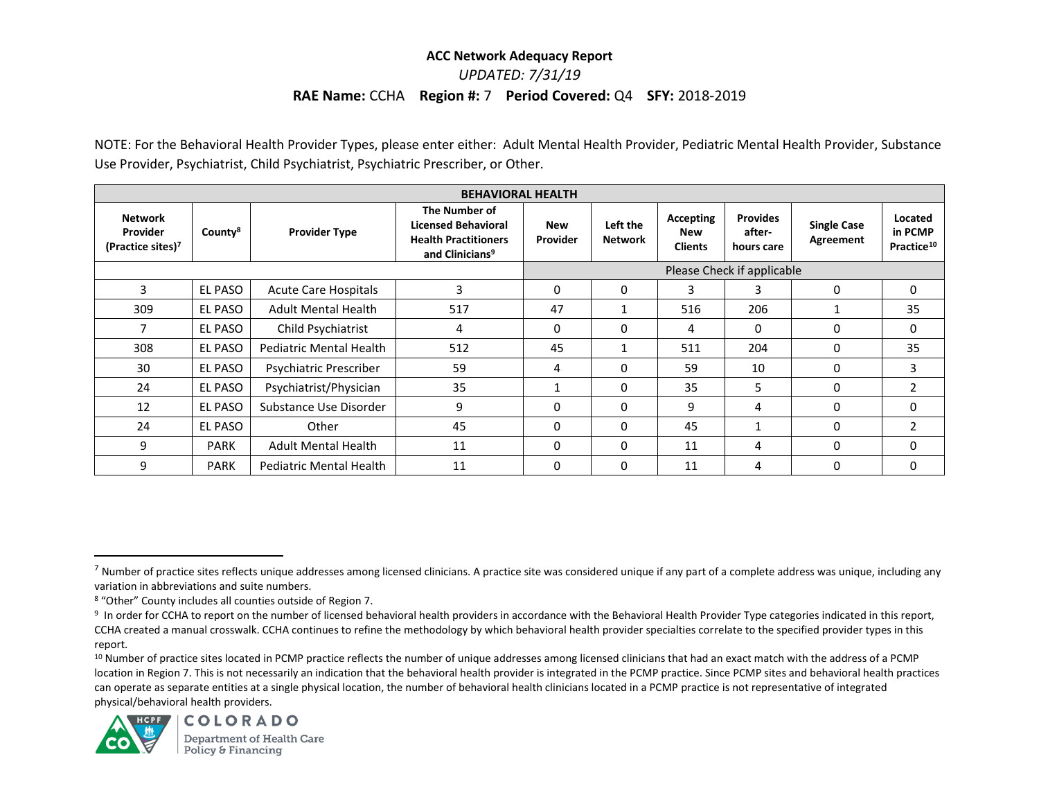*UPDATED: 7/31/19*

#### **RAE Name:** CCHA **Region #:** 7 **Period Covered:** Q4 **SFY:** 2018-2019

NOTE: For the Behavioral Health Provider Types, please enter either: Adult Mental Health Provider, Pediatric Mental Health Provider, Substance Use Provider, Psychiatrist, Child Psychiatrist, Psychiatric Prescriber, or Other.

| <b>BEHAVIORAL HEALTH</b>                                    |                     |                                |                                                                                                           |                            |                            |                                           |                                         |                                        |                                              |  |
|-------------------------------------------------------------|---------------------|--------------------------------|-----------------------------------------------------------------------------------------------------------|----------------------------|----------------------------|-------------------------------------------|-----------------------------------------|----------------------------------------|----------------------------------------------|--|
| <b>Network</b><br>Provider<br>(Practice sites) <sup>7</sup> | County <sup>8</sup> | <b>Provider Type</b>           | The Number of<br><b>Licensed Behavioral</b><br><b>Health Practitioners</b><br>and Clinicians <sup>9</sup> | <b>New</b><br>Provider     | Left the<br><b>Network</b> | Accepting<br><b>New</b><br><b>Clients</b> | <b>Provides</b><br>after-<br>hours care | <b>Single Case</b><br><b>Agreement</b> | Located<br>in PCMP<br>Practice <sup>10</sup> |  |
|                                                             |                     |                                |                                                                                                           | Please Check if applicable |                            |                                           |                                         |                                        |                                              |  |
| 3                                                           | EL PASO             | <b>Acute Care Hospitals</b>    | 3                                                                                                         | $\Omega$                   | 0                          | 3                                         | 3                                       | $\Omega$                               | 0                                            |  |
| 309                                                         | EL PASO             | <b>Adult Mental Health</b>     | 517                                                                                                       | 47                         | $\mathbf{1}$               | 516                                       | 206                                     |                                        | 35                                           |  |
| 7                                                           | EL PASO             | Child Psychiatrist             | 4                                                                                                         | $\mathbf{0}$               | 0                          | 4                                         | 0                                       | 0                                      | 0                                            |  |
| 308                                                         | <b>EL PASO</b>      | <b>Pediatric Mental Health</b> | 512                                                                                                       | 45                         | 1                          | 511                                       | 204                                     | $\Omega$                               | 35                                           |  |
| 30                                                          | EL PASO             | Psychiatric Prescriber         | 59                                                                                                        | 4                          | $\Omega$                   | 59                                        | 10                                      | $\Omega$                               | 3                                            |  |
| 24                                                          | EL PASO             | Psychiatrist/Physician         | 35                                                                                                        | 1                          | 0                          | 35                                        | 5                                       | $\Omega$                               | 2                                            |  |
| 12                                                          | <b>EL PASO</b>      | Substance Use Disorder         | 9                                                                                                         | $\mathbf{0}$               | $\Omega$                   | 9                                         | 4                                       | 0                                      | 0                                            |  |
| 24                                                          | EL PASO             | Other                          | 45                                                                                                        | $\mathbf{0}$               | $\Omega$                   | 45                                        |                                         | $\Omega$                               | 2                                            |  |
| 9                                                           | <b>PARK</b>         | <b>Adult Mental Health</b>     | 11                                                                                                        | $\mathbf{0}$               | $\Omega$                   | 11                                        | 4                                       | $\Omega$                               | 0                                            |  |
| 9                                                           | <b>PARK</b>         | Pediatric Mental Health        | 11                                                                                                        | $\mathbf{0}$               | 0                          | 11                                        | 4                                       | $\Omega$                               | 0                                            |  |

<sup>10</sup> Number of practice sites located in PCMP practice reflects the number of unique addresses among licensed clinicians that had an exact match with the address of a PCMP location in Region 7. This is not necessarily an indication that the behavioral health provider is integrated in the PCMP practice. Since PCMP sites and behavioral health practices can operate as separate entities at a single physical location, the number of behavioral health clinicians located in a PCMP practice is not representative of integrated physical/behavioral health providers.



 $\overline{a}$ 

 $^7$  Number of practice sites reflects unique addresses among licensed clinicians. A practice site was considered unique if any part of a complete address was unique, including any variation in abbreviations and suite numbers.

<sup>8</sup> "Other" County includes all counties outside of Region 7.

<sup>&</sup>lt;sup>9</sup> In order for CCHA to report on the number of licensed behavioral health providers in accordance with the Behavioral Health Provider Type categories indicated in this report, CCHA created a manual crosswalk. CCHA continues to refine the methodology by which behavioral health provider specialties correlate to the specified provider types in this report.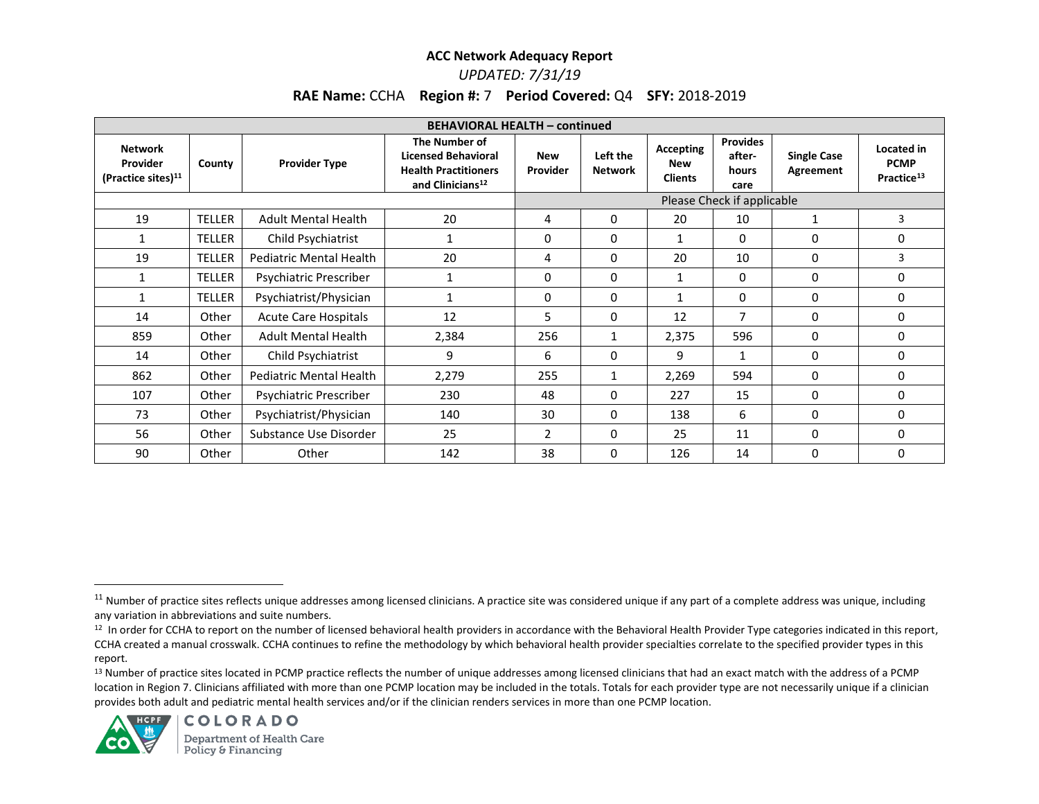# *UPDATED: 7/31/19*

# **RAE Name:** CCHA **Region #:** 7 **Period Covered:** Q4 **SFY:** 2018-2019

| <b>BEHAVIORAL HEALTH - continued</b>                         |               |                             |                                                                                                            |                            |                            |                                           |                                            |                                 |                                                     |  |
|--------------------------------------------------------------|---------------|-----------------------------|------------------------------------------------------------------------------------------------------------|----------------------------|----------------------------|-------------------------------------------|--------------------------------------------|---------------------------------|-----------------------------------------------------|--|
| <b>Network</b><br>Provider<br>(Practice sites) <sup>11</sup> | County        | <b>Provider Type</b>        | The Number of<br><b>Licensed Behavioral</b><br><b>Health Practitioners</b><br>and Clinicians <sup>12</sup> | <b>New</b><br>Provider     | Left the<br><b>Network</b> | Accepting<br><b>New</b><br><b>Clients</b> | <b>Provides</b><br>after-<br>hours<br>care | <b>Single Case</b><br>Agreement | Located in<br><b>PCMP</b><br>Practice <sup>13</sup> |  |
|                                                              |               |                             |                                                                                                            | Please Check if applicable |                            |                                           |                                            |                                 |                                                     |  |
| 19                                                           | <b>TELLER</b> | <b>Adult Mental Health</b>  | 20                                                                                                         | 4                          | 0                          | 20                                        | 10                                         | 1                               | 3                                                   |  |
| 1                                                            | TELLER        | Child Psychiatrist          | 1                                                                                                          | 0                          | 0                          | 1                                         | $\Omega$                                   | $\Omega$                        | $\Omega$                                            |  |
| 19                                                           | <b>TELLER</b> | Pediatric Mental Health     | 20                                                                                                         | 4                          | 0                          | 20                                        | 10                                         | 0                               | 3                                                   |  |
| $\mathbf{1}$                                                 | <b>TELLER</b> | Psychiatric Prescriber      | 1                                                                                                          | 0                          | 0                          | 1                                         | 0                                          | 0                               | 0                                                   |  |
| 1                                                            | <b>TELLER</b> | Psychiatrist/Physician      | 1                                                                                                          | 0                          | 0                          | $\mathbf{1}$                              | 0                                          | 0                               | 0                                                   |  |
| 14                                                           | Other         | <b>Acute Care Hospitals</b> | 12                                                                                                         | 5.                         | 0                          | 12                                        | 7                                          | 0                               | 0                                                   |  |
| 859                                                          | Other         | <b>Adult Mental Health</b>  | 2,384                                                                                                      | 256                        | 1                          | 2,375                                     | 596                                        | 0                               | 0                                                   |  |
| 14                                                           | Other         | Child Psychiatrist          | 9                                                                                                          | 6                          | 0                          | 9                                         |                                            | 0                               | 0                                                   |  |
| 862                                                          | Other         | Pediatric Mental Health     | 2,279                                                                                                      | 255                        | 1                          | 2,269                                     | 594                                        | 0                               | 0                                                   |  |
| 107                                                          | Other         | Psychiatric Prescriber      | 230                                                                                                        | 48                         | $\Omega$                   | 227                                       | 15                                         | 0                               | 0                                                   |  |
| 73                                                           | Other         | Psychiatrist/Physician      | 140                                                                                                        | 30                         | 0                          | 138                                       | 6                                          | 0                               | 0                                                   |  |
| 56                                                           | Other         | Substance Use Disorder      | 25                                                                                                         | 2                          | 0                          | 25                                        | 11                                         | 0                               | 0                                                   |  |
| 90                                                           | Other         | Other                       | 142                                                                                                        | 38                         | 0                          | 126                                       | 14                                         | 0                               | 0                                                   |  |

<sup>13</sup> Number of practice sites located in PCMP practice reflects the number of unique addresses among licensed clinicians that had an exact match with the address of a PCMP location in Region 7. Clinicians affiliated with more than one PCMP location may be included in the totals. Totals for each provider type are not necessarily unique if a clinician provides both adult and pediatric mental health services and/or if the clinician renders services in more than one PCMP location.



 $\overline{\phantom{a}}$ 

<sup>&</sup>lt;sup>11</sup> Number of practice sites reflects unique addresses among licensed clinicians. A practice site was considered unique if any part of a complete address was unique, including any variation in abbreviations and suite numbers.

<sup>12</sup> In order for CCHA to report on the number of licensed behavioral health providers in accordance with the Behavioral Health Provider Type categories indicated in this report, CCHA created a manual crosswalk. CCHA continues to refine the methodology by which behavioral health provider specialties correlate to the specified provider types in this report.